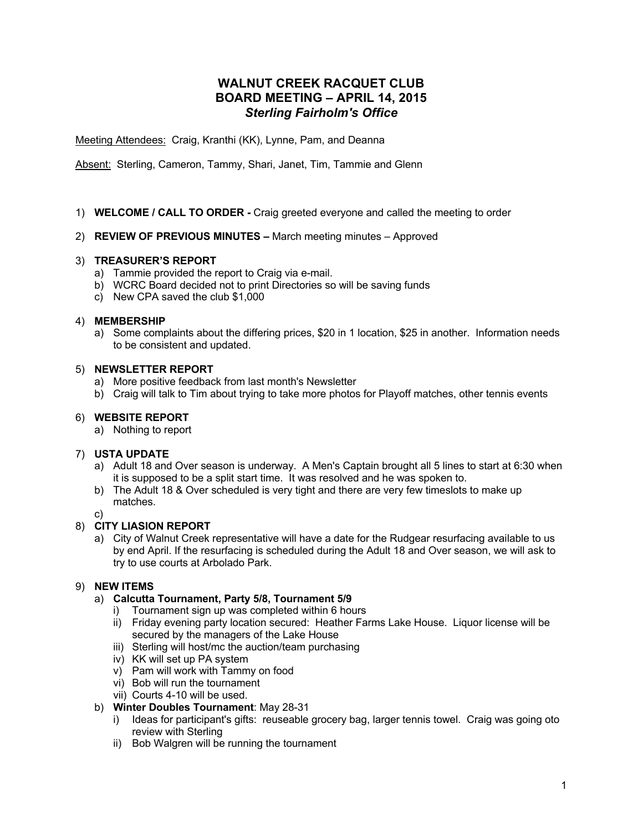# **WALNUT CREEK RACQUET CLUB BOARD MEETING – APRIL 14, 2015** *Sterling Fairholm's Office*

Meeting Attendees: Craig, Kranthi (KK), Lynne, Pam, and Deanna

Absent: Sterling, Cameron, Tammy, Shari, Janet, Tim, Tammie and Glenn

## 1) **WELCOME / CALL TO ORDER -** Craig greeted everyone and called the meeting to order

## 2) **REVIEW OF PREVIOUS MINUTES –** March meeting minutes – Approved

## 3) **TREASURER'S REPORT**

- a) Tammie provided the report to Craig via e-mail.
- b) WCRC Board decided not to print Directories so will be saving funds
- c) New CPA saved the club \$1,000

### 4) **MEMBERSHIP**

a) Some complaints about the differing prices, \$20 in 1 location, \$25 in another. Information needs to be consistent and updated.

### 5) **NEWSLETTER REPORT**

- a) More positive feedback from last month's Newsletter
- b) Craig will talk to Tim about trying to take more photos for Playoff matches, other tennis events

## 6) **WEBSITE REPORT**

a) Nothing to report

### 7) **USTA UPDATE**

- a) Adult 18 and Over season is underway. A Men's Captain brought all 5 lines to start at 6:30 when it is supposed to be a split start time. It was resolved and he was spoken to.
- b) The Adult 18 & Over scheduled is very tight and there are very few timeslots to make up matches.
- c)

# 8) **CITY LIASION REPORT**

a) City of Walnut Creek representative will have a date for the Rudgear resurfacing available to us by end April. If the resurfacing is scheduled during the Adult 18 and Over season, we will ask to try to use courts at Arbolado Park.

# 9) **NEW ITEMS**

- a) **Calcutta Tournament, Party 5/8, Tournament 5/9**
	- i) Tournament sign up was completed within 6 hours
	- ii) Friday evening party location secured: Heather Farms Lake House. Liquor license will be secured by the managers of the Lake House
	- iii) Sterling will host/mc the auction/team purchasing
	- iv) KK will set up PA system
	- v) Pam will work with Tammy on food
	- vi) Bob will run the tournament
	- vii) Courts 4-10 will be used.

### b) **Winter Doubles Tournament**: May 28-31

- i) Ideas for participant's gifts: reuseable grocery bag, larger tennis towel. Craig was going oto review with Sterling
- ii) Bob Walgren will be running the tournament